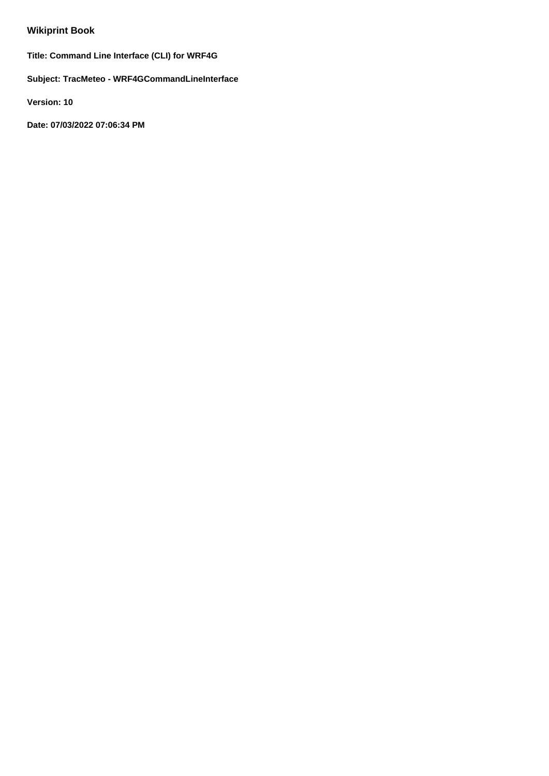# **Wikiprint Book**

**Title: Command Line Interface (CLI) for WRF4G**

**Subject: TracMeteo - WRF4GCommandLineInterface**

**Version: 10**

**Date: 07/03/2022 07:06:34 PM**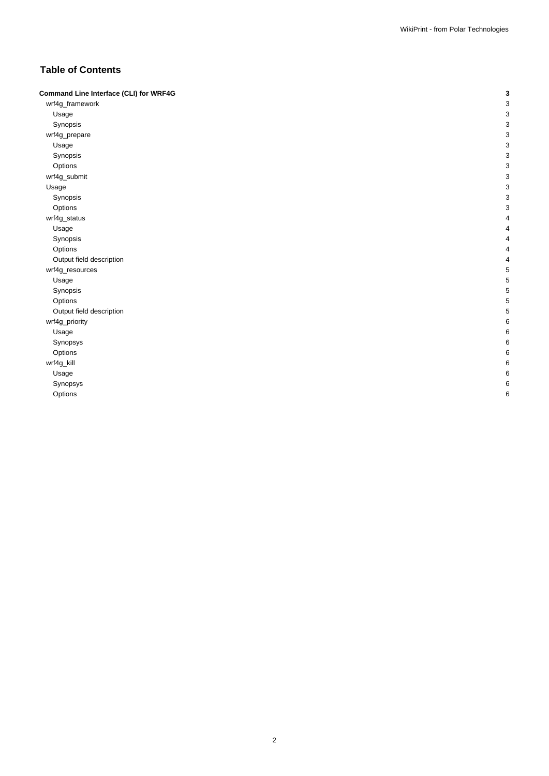# **Table of Contents**

| Command Line Interface (CLI) for WRF4G | 3 |
|----------------------------------------|---|
| wrf4g_framework                        | 3 |
| Usage                                  | 3 |
| Synopsis                               | 3 |
| wrf4g_prepare                          | 3 |
| Usage                                  | 3 |
| Synopsis                               | 3 |
| Options                                | 3 |
| wrf4g_submit                           | 3 |
| Usage                                  | 3 |
| Synopsis                               | 3 |
| Options                                | 3 |
| wrf4g_status                           | 4 |
| Usage                                  | 4 |
| Synopsis                               | 4 |
| Options                                | 4 |
| Output field description               | 4 |
| wrf4g_resources                        | 5 |
| Usage                                  | 5 |
| Synopsis                               | 5 |
| Options                                | 5 |
| Output field description               | 5 |
| wrf4g_priority                         | 6 |
| Usage                                  | 6 |
| Synopsys                               | 6 |
| Options                                | 6 |
| wrf4g_kill                             | 6 |
| Usage                                  | 6 |
| Synopsys                               | 6 |
| Options                                | 6 |
|                                        |   |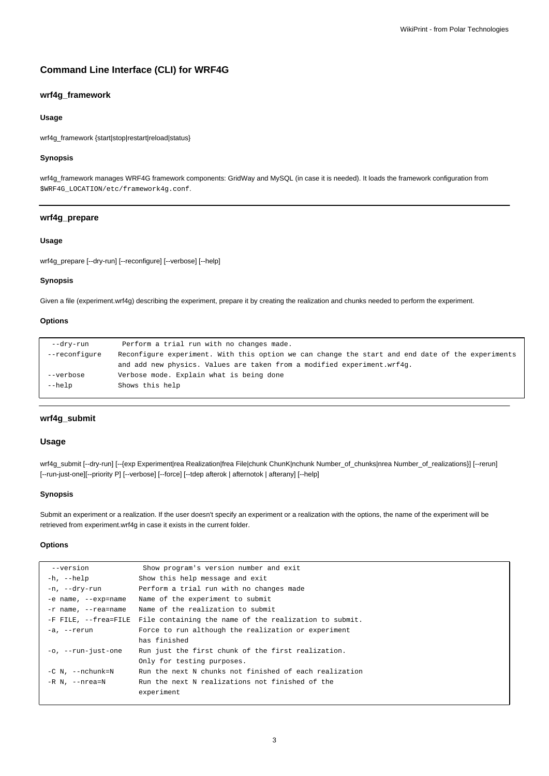# **Command Line Interface (CLI) for WRF4G**

# **wrf4g\_framework**

### **Usage**

wrf4g\_framework {start|stop|restart|reload|status}

### **Synopsis**

wrf4g\_framework manages WRF4G framework components: GridWay and MySQL (in case it is needed). It loads the framework configuration from \$WRF4G\_LOCATION/etc/framework4g.conf.

### **wrf4g\_prepare**

### **Usage**

wrf4g\_prepare [--dry-run] [--reconfigure] [--verbose] [--help]

### **Synopsis**

Given a file (experiment.wrf4g) describing the experiment, prepare it by creating the realization and chunks needed to perform the experiment.

#### **Options**

| --dry-run      | Perform a trial run with no changes made.                                                        |
|----------------|--------------------------------------------------------------------------------------------------|
| --reconfigure  | Reconfigure experiment. With this option we can change the start and end date of the experiments |
|                | and add new physics. Values are taken from a modified experiment.wrf4q.                          |
| --verbose      | Verbose mode. Explain what is being done                                                         |
| $-\text{help}$ | Shows this help                                                                                  |
|                |                                                                                                  |

### **wrf4g\_submit**

### **Usage**

wrf4g\_submit [--dry-run] [--{exp Experiment|rea Realization|frea File|chunk ChunK|nchunk Number\_of\_chunks|nrea Number\_of\_realizations}] [--rerun] [--run-just-one][--priority P] [--verbose] [--force] [--tdep afterok | afternotok | afterany] [--help]

### **Synopsis**

Submit an experiment or a realization. If the user doesn't specify an experiment or a realization with the options, the name of the experiment will be retrieved from experiment.wrf4g in case it exists in the current folder.

#### **Options**

| --version                  | Show program's version number and exit                                      |
|----------------------------|-----------------------------------------------------------------------------|
| -h, --help                 | Show this help message and exit                                             |
| $-n, -dry-run$             | Perform a trial run with no changes made                                    |
| -e name, --exp=name        | Name of the experiment to submit                                            |
| -r name, --rea=name        | Name of the realization to submit                                           |
|                            | -F FILE, --frea=FILE File containing the name of the realization to submit. |
| -a, --rerun                | Force to run although the realization or experiment                         |
|                            | has finished                                                                |
| -o, --run-just-one         | Run just the first chunk of the first realization.                          |
|                            | Only for testing purposes.                                                  |
| $-C N$ , $-{\rm nchunk=N}$ | Run the next N chunks not finished of each realization                      |
| -R N. --nrea=N             | Run the next N realizations not finished of the                             |
|                            | experiment                                                                  |
|                            |                                                                             |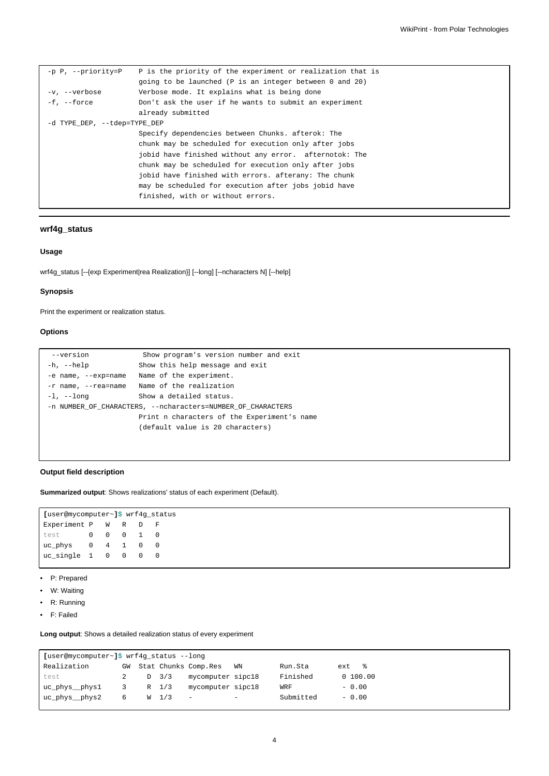| -p P, --priority=P           | P is the priority of the experiment or realization that is |
|------------------------------|------------------------------------------------------------|
|                              | going to be launched ( $P$ is an integer between 0 and 20) |
| -v, --verbose                | Verbose mode. It explains what is being done               |
| $-f$ , $-f$ orce             | Don't ask the user if he wants to submit an experiment     |
|                              | already submitted                                          |
| -d TYPE DEP, --tdep=TYPE DEP |                                                            |
|                              | Specify dependencies between Chunks. afterok: The          |
|                              | chunk may be scheduled for execution only after jobs       |
|                              | jobid have finished without any error. afternotok: The     |
|                              | chunk may be scheduled for execution only after jobs       |
|                              | jobid have finished with errors. afterany: The chunk       |
|                              | may be scheduled for execution after jobs jobid have       |
|                              | finished, with or without errors.                          |

# **wrf4g\_status**

# **Usage**

wrf4g\_status [--{exp Experiment|rea Realization}] [--long] [--ncharacters N] [--help]

### **Synopsis**

Print the experiment or realization status.

# **Options**

| --version           | Show program's version number and exit                      |
|---------------------|-------------------------------------------------------------|
| $-h$ , $-help$      | Show this help message and exit                             |
| -e name, --exp=name | Name of the experiment.                                     |
| -r name, --rea=name | Name of the realization                                     |
| $-1$ , $-$ long     | Show a detailed status.                                     |
|                     | -n NUMBER OF CHARACTERS, --ncharacters=NUMBER OF CHARACTERS |
|                     | Print n characters of the Experiment's name                 |
|                     | (default value is 20 characters)                            |
|                     |                                                             |

# **Output field description**

**Summarized output**: Shows realizations' status of each experiment (Default).

| [user@mycomputer~]\$ wrf4g_status |                  |    |                |   |  |
|-----------------------------------|------------------|----|----------------|---|--|
| Experiment P                      |                  | W  | R              | F |  |
| test                              | $\left( \right)$ | O. | O              |   |  |
| uc_phys                           | 0                | 4  | $\overline{1}$ |   |  |
| uc single 1                       |                  | 0  |                |   |  |

- P: Prepared
- W: Waiting
- R: Running
- F: Failed

### **Long output**: Shows a detailed realization status of every experiment

| [user@mycomputer~]\$ wrf4g_status --long |   |  |               |                         |     |           |            |
|------------------------------------------|---|--|---------------|-------------------------|-----|-----------|------------|
| Realization                              |   |  |               | GW Stat Chunks Comp.Res | WN  | Run.Sta   | ext %      |
| test                                     |   |  | $D \quad 3/3$ | mycomputer sipc18       |     | Finished  | 0, 100, 00 |
| uc_phys_phys1                            | 3 |  | R 1/3         | mycomputer sipc18       |     | WRF       | $-0.00$    |
| uc_phys__phys2                           | 6 |  | W 1/3         | $\sim$ $-$              | $-$ | Submitted | $-0.00$    |
|                                          |   |  |               |                         |     |           |            |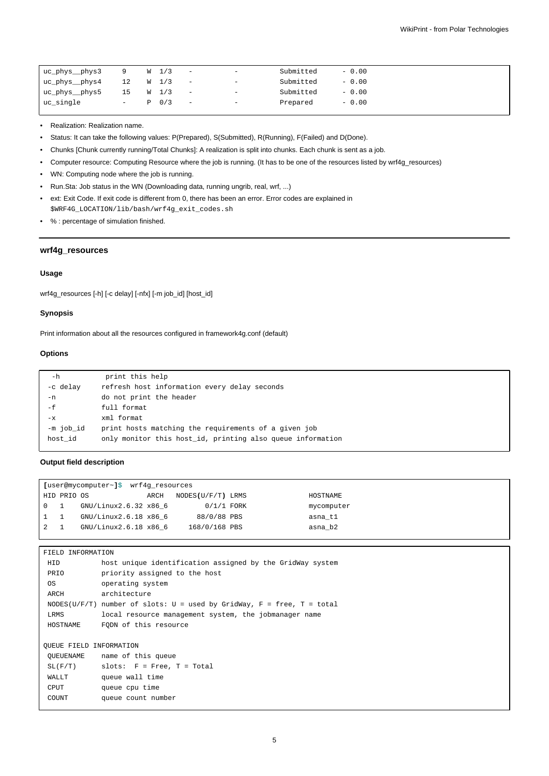| uc_phys__phys3 | 9      | W 1/3            | $\overline{\phantom{a}}$ | $\overline{\phantom{m}}$ | Submitted | $-0.00$ |
|----------------|--------|------------------|--------------------------|--------------------------|-----------|---------|
| uc_phys__phys4 | 12     | W <sub>1/3</sub> | $\overline{a}$           | $\sim$                   | Submitted | $-0.00$ |
| uc_phys__phys5 | 15     | $W = 1/3$        | $-$                      | $\overline{\phantom{0}}$ | Submitted | $-0.00$ |
| uc_single      | $\sim$ | $P \t0/3$        | <b>Contract Contract</b> | $\sim$                   | Prepared  | $-0.00$ |
|                |        |                  |                          |                          |           |         |

• Realization: Realization name.

- Status: It can take the following values: P(Prepared), S(Submitted), R(Running), F(Failed) and D(Done).
- Chunks [Chunk currently running/Total Chunks]: A realization is split into chunks. Each chunk is sent as a job.
- Computer resource: Computing Resource where the job is running. (It has to be one of the resources listed by wrf4g\_resources)
- WN: Computing node where the job is running.
- Run.Sta: Job status in the WN (Downloading data, running ungrib, real, wrf, ...)
- ext: Exit Code. If exit code is different from 0, there has been an error. Error codes are explained in \$WRF4G\_LOCATION/lib/bash/wrf4g\_exit\_codes.sh
- % : percentage of simulation finished.

### **wrf4g\_resources**

### **Usage**

wrf4g\_resources [-h] [-c delay] [-nfx] [-m job\_id] [host\_id]

### **Synopsis**

Print information about all the resources configured in framework4g.conf (default)

#### **Options**

| $-h$      | print this help                                            |
|-----------|------------------------------------------------------------|
| -c delay  | refresh host information every delay seconds               |
| -n        | do not print the header                                    |
| -f        | full format                                                |
| $-x$      | xml format                                                 |
| -m job id | print hosts matching the requirements of a given job       |
| host id   | only monitor this host id, printing also queue information |

### **Output field description**

| [user@mycomputer~]\$ wrf4g_resources |                       |      |                   |  |            |  |
|--------------------------------------|-----------------------|------|-------------------|--|------------|--|
| HID PRIO OS                          |                       | ARCH | NODES(U/F/T) LRMS |  | HOSTNAME   |  |
|                                      | GNU/Linux2.6.32 x86_6 |      | $0/1/1$ FORK      |  | mycomputer |  |
|                                      | GNU/Linux2.6.18 x86 6 |      | 88/0/88 PBS       |  | asna tl    |  |
|                                      | GNU/Linux2.6.18 x86 6 |      | 168/0/168 PBS     |  | asna b2    |  |
|                                      |                       |      |                   |  |            |  |

| FIELD INFORMATION       |                                                                        |  |  |  |  |  |
|-------------------------|------------------------------------------------------------------------|--|--|--|--|--|
| HID                     | host unique identification assigned by the GridWay system              |  |  |  |  |  |
| PRIO                    | priority assigned to the host                                          |  |  |  |  |  |
| OS                      | operating system                                                       |  |  |  |  |  |
| ARCH                    | architecture                                                           |  |  |  |  |  |
|                         | NODES(U/F/T) number of slots: U = used by GridWay, F = free, T = total |  |  |  |  |  |
| LRMS                    | local resource management system, the jobmanager name                  |  |  |  |  |  |
| HOSTNAME                | FODN of this resource                                                  |  |  |  |  |  |
|                         |                                                                        |  |  |  |  |  |
| OUEUE FIELD INFORMATION |                                                                        |  |  |  |  |  |
|                         | OUEUENAME name of this queue                                           |  |  |  |  |  |
|                         | $SL(F/T)$ slots: $F = Free$ , $T = Total$                              |  |  |  |  |  |
| WALLT                   | queue wall time                                                        |  |  |  |  |  |
| CPUT                    | queue cpu time                                                         |  |  |  |  |  |
| COUNT                   | queue count number                                                     |  |  |  |  |  |
|                         |                                                                        |  |  |  |  |  |